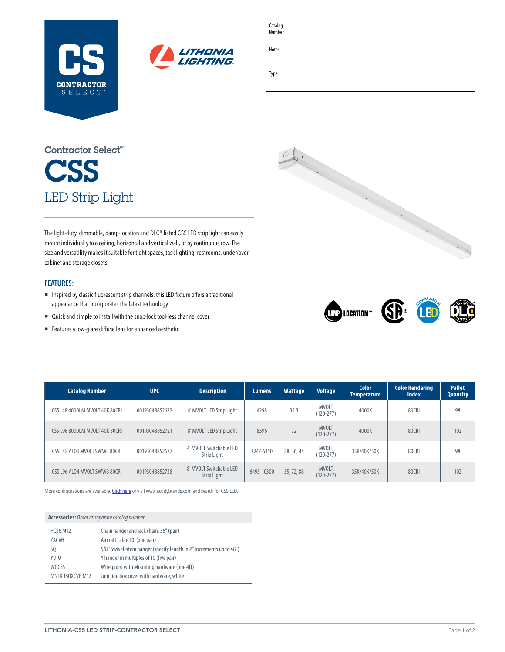



| Catalog<br>Number |  |
|-------------------|--|
| Notes             |  |
| Type              |  |

# **CSS** LED Strip Light Contractor Select™

The light-duty, dimmable, damp-location and DLC® listed CSS LED strip light can easily mount individually to a ceiling, horizontal and vertical wall, or by continuous row. The size and versatility makes it suitable for tight spaces, task lighting, restrooms, under/over cabinet and storage closets.

### **FEATURES:**

- ¡ Inspired by classic fluorescent strip channels, this LED fixture offers a traditional appearance that incorporates the latest technology
- Quick and simple to install with the snap-lock tool-less channel cover
- Features a low-glare diffuse lens for enhanced aesthetic





| <b>Catalog Number</b>          | <b>UPC</b>     | <b>Description</b>                     | <b>Lumens</b> | <b>Wattage</b> | <b>Voltage</b>                | <b>Color</b><br><b>Temperature</b> | <b>Color Rendering</b><br><b>Index</b> | <b>Pallet</b><br><b>Quantity</b> |
|--------------------------------|----------------|----------------------------------------|---------------|----------------|-------------------------------|------------------------------------|----------------------------------------|----------------------------------|
| CSS L48 4000LM MVOLT 40K 80CRI | 00193048852622 | 4' MVOLT LED Strip Light               | 4298          | 35.3           | <b>MVOLT</b><br>$(120 - 277)$ | 4000K                              | 80CRI                                  | 98                               |
| CSS L96 8000LM MVOLT 40K 80CRI | 00193048852721 | 8' MVOLT LED Strip Light               | 8596          | 72             | <b>MVOLT</b><br>$(120 - 277)$ | 4000K                              | 80CRI                                  | 102                              |
| CSS L48 ALO3 MVOLT SWW3 80CRI  | 00193048852677 | 4' MVOLT Switchable LED<br>Strip Light | 3247-5150     | 28, 36, 44     | <b>MVOLT</b><br>$(120 - 277)$ | 35K/40K/50K                        | 80CRI                                  | 98                               |
| CSS L96 ALO4 MVOLT SWW3 80CRL  | 00193048852738 | 8' MVOLT Switchable LED<br>Strip Light | 6495-10300    | 55, 72, 88     | <b>MVOLT</b><br>$(120 - 277)$ | 35K/40K/50K                        | 80CRI                                  | 102                              |

More configurations are available. [Click here](https://www.acuitybrands.com/products/detail/1021224/lithonia-lighting/css-led-strip-light/contractor-led-single-strip-light) or visit [www.acuitybrands.com](http://www.acuitybrands.com) and search for CSS LED.

| Accessories: Order as separate catalog number. |                                                                     |  |  |  |
|------------------------------------------------|---------------------------------------------------------------------|--|--|--|
| HC36 M12                                       | Chain hanger and jack chain, 36" (pair)                             |  |  |  |
| ZACVH                                          | Aircraft cable 10' (one pair)                                       |  |  |  |
| SQ                                             | 5/8" Swivel-stem hanger (specify length in 2" increments up to 48") |  |  |  |
| Y J10                                          | Y hanger in multiples of 10 (five pair)                             |  |  |  |
| WGCSS                                          | Wiregaurd with Mounting hardware (one 4ft)                          |  |  |  |
| MNI K JROXCVR M12                              | Junction box cover with hardware, white                             |  |  |  |